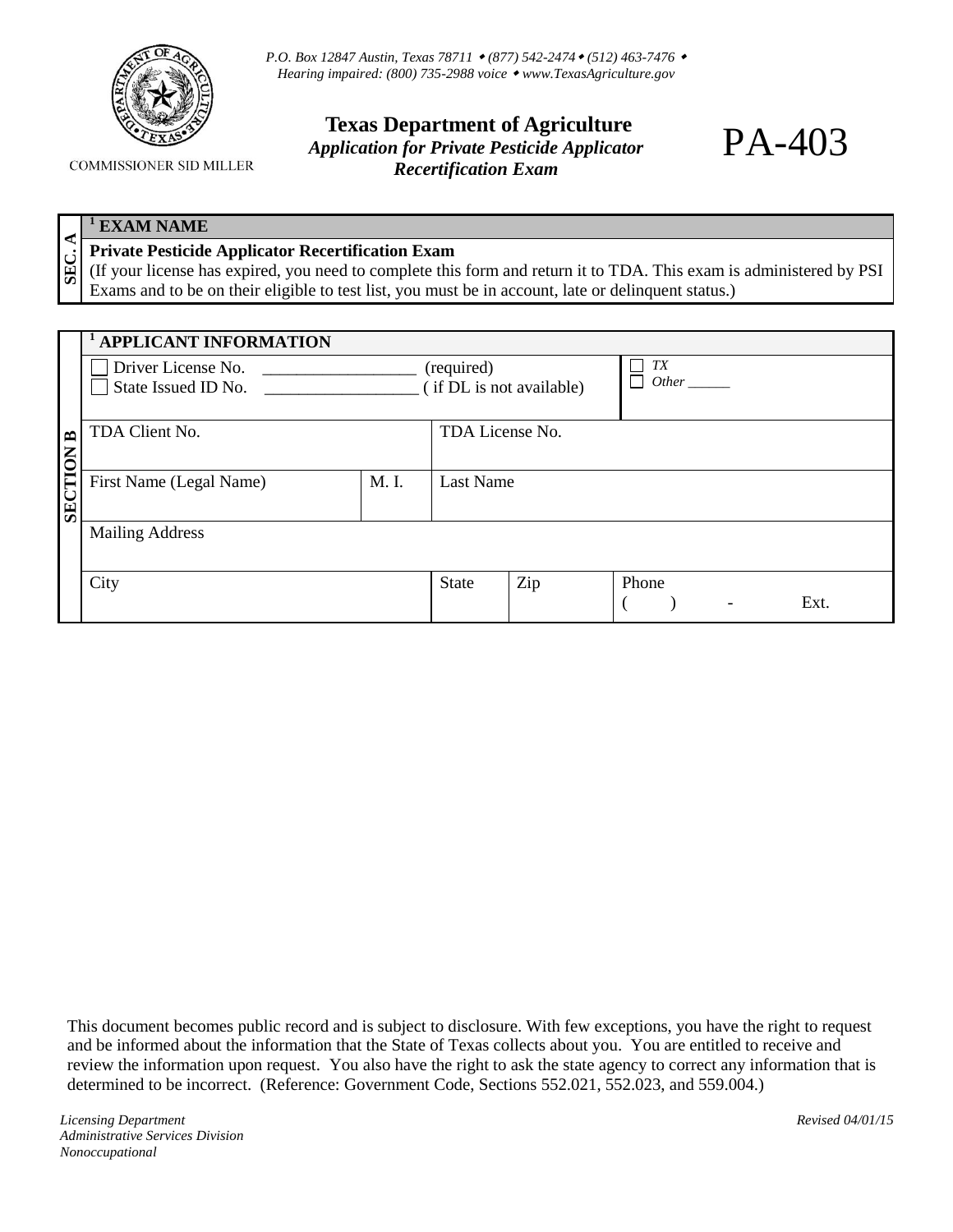

*P.O. Box 12847 Austin, Texas 78711 (877) 542-2474 (512) 463-7476 Hearing impaired: (800) 735-2988 voice [www.TexasAgriculture.gov](http://www.agr.state.tx.us/)* 

## **Texas Department of Agriculture** *Application for Private Pesticide Applicator Recertification Exam*

## **COMMISSIONER SID MILLER**

## **<sup>1</sup> EXAM NAME**

**SEC.** 

## **Private Pesticide Applicator Recertification Exam**

(If your license has expired, you need to complete this form and return it to TDA. This exam is administered by PSI Exams and to be on their eligible to test list, you must be in account, late or delinquent status.)

|                  | <b>APPLICANT INFORMATION</b>              |       |                                        |     |                                           |  |  |  |
|------------------|-------------------------------------------|-------|----------------------------------------|-----|-------------------------------------------|--|--|--|
|                  | Driver License No.<br>State Issued ID No. |       | (required)<br>(if DL is not available) |     | TX<br><i>Other</i>                        |  |  |  |
|                  |                                           |       |                                        |     |                                           |  |  |  |
|                  | TDA Client No.                            |       | TDA License No.                        |     |                                           |  |  |  |
| <b>SECTION B</b> | First Name (Legal Name)                   | M. I. | <b>Last Name</b>                       |     |                                           |  |  |  |
|                  | <b>Mailing Address</b>                    |       |                                        |     |                                           |  |  |  |
|                  | City                                      |       | <b>State</b>                           | Zip | Phone<br>Ext.<br>$\overline{\phantom{a}}$ |  |  |  |

This document becomes public record and is subject to disclosure. With few exceptions, you have the right to request and be informed about the information that the State of Texas collects about you. You are entitled to receive and review the information upon request. You also have the right to ask the state agency to correct any information that is determined to be incorrect. (Reference: Government Code, Sections 552.021, 552.023, and 559.004.)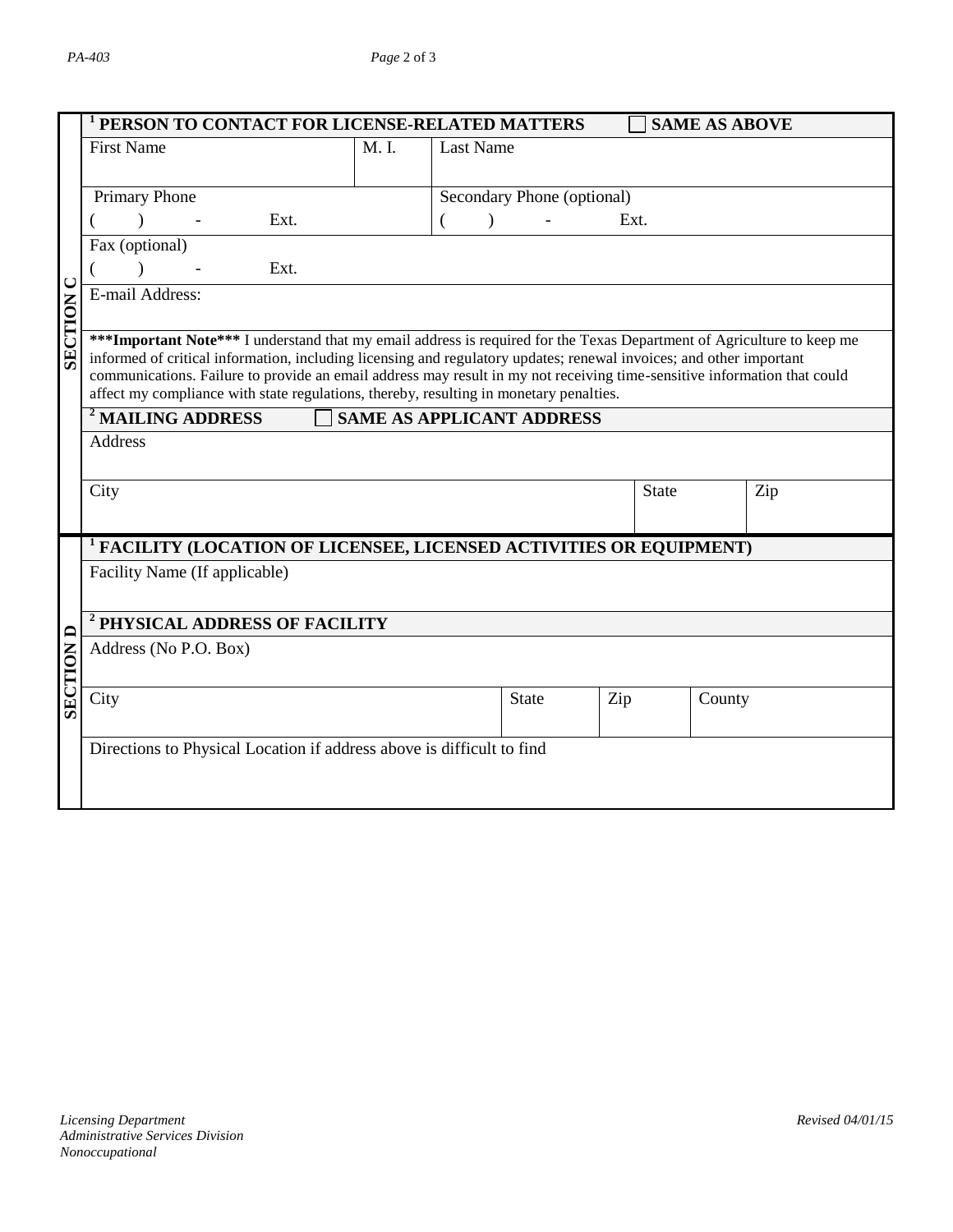|                                                                                    | <sup>1</sup> PERSON TO CONTACT FOR LICENSE-RELATED MATTERS                                                                                                                                                                                                                                                                                                                                                                                                           |       |                  |                            |              | <b>SAME AS ABOVE</b> |                  |  |
|------------------------------------------------------------------------------------|----------------------------------------------------------------------------------------------------------------------------------------------------------------------------------------------------------------------------------------------------------------------------------------------------------------------------------------------------------------------------------------------------------------------------------------------------------------------|-------|------------------|----------------------------|--------------|----------------------|------------------|--|
|                                                                                    | <b>First Name</b>                                                                                                                                                                                                                                                                                                                                                                                                                                                    | M. I. | <b>Last Name</b> |                            |              |                      |                  |  |
|                                                                                    | Primary Phone                                                                                                                                                                                                                                                                                                                                                                                                                                                        |       |                  | Secondary Phone (optional) |              |                      |                  |  |
|                                                                                    | Ext.                                                                                                                                                                                                                                                                                                                                                                                                                                                                 |       | $\lambda$        |                            | Ext.         |                      |                  |  |
| <b>SECTION C</b>                                                                   | Fax (optional)<br>Ext.<br>$\lambda$                                                                                                                                                                                                                                                                                                                                                                                                                                  |       |                  |                            |              |                      |                  |  |
|                                                                                    | E-mail Address:                                                                                                                                                                                                                                                                                                                                                                                                                                                      |       |                  |                            |              |                      |                  |  |
|                                                                                    | *** Important Note*** I understand that my email address is required for the Texas Department of Agriculture to keep me<br>informed of critical information, including licensing and regulatory updates; renewal invoices; and other important<br>communications. Failure to provide an email address may result in my not receiving time-sensitive information that could<br>affect my compliance with state regulations, thereby, resulting in monetary penalties. |       |                  |                            |              |                      |                  |  |
|                                                                                    | <sup>2</sup> MAILING ADDRESS<br><b>SAME AS APPLICANT ADDRESS</b>                                                                                                                                                                                                                                                                                                                                                                                                     |       |                  |                            |              |                      |                  |  |
|                                                                                    | Address                                                                                                                                                                                                                                                                                                                                                                                                                                                              |       |                  |                            |              |                      |                  |  |
|                                                                                    | City                                                                                                                                                                                                                                                                                                                                                                                                                                                                 |       |                  |                            | <b>State</b> |                      | Zip              |  |
|                                                                                    |                                                                                                                                                                                                                                                                                                                                                                                                                                                                      |       |                  |                            |              |                      |                  |  |
|                                                                                    | <sup>1</sup> FACILITY (LOCATION OF LICENSEE, LICENSED ACTIVITIES OR EQUIPMENT)<br>Facility Name (If applicable)                                                                                                                                                                                                                                                                                                                                                      |       |                  |                            |              |                      |                  |  |
|                                                                                    |                                                                                                                                                                                                                                                                                                                                                                                                                                                                      |       |                  |                            |              |                      |                  |  |
|                                                                                    | <sup>2</sup> PHYSICAL ADDRESS OF FACILITY<br>Address (No P.O. Box)                                                                                                                                                                                                                                                                                                                                                                                                   |       |                  |                            |              |                      |                  |  |
| <b>SECTION D</b>                                                                   |                                                                                                                                                                                                                                                                                                                                                                                                                                                                      |       |                  |                            |              |                      |                  |  |
|                                                                                    | City                                                                                                                                                                                                                                                                                                                                                                                                                                                                 |       |                  | State                      | Zip          | County               |                  |  |
|                                                                                    | Directions to Physical Location if address above is difficult to find                                                                                                                                                                                                                                                                                                                                                                                                |       |                  |                            |              |                      |                  |  |
|                                                                                    |                                                                                                                                                                                                                                                                                                                                                                                                                                                                      |       |                  |                            |              |                      |                  |  |
|                                                                                    |                                                                                                                                                                                                                                                                                                                                                                                                                                                                      |       |                  |                            |              |                      |                  |  |
|                                                                                    |                                                                                                                                                                                                                                                                                                                                                                                                                                                                      |       |                  |                            |              |                      |                  |  |
|                                                                                    |                                                                                                                                                                                                                                                                                                                                                                                                                                                                      |       |                  |                            |              |                      |                  |  |
|                                                                                    |                                                                                                                                                                                                                                                                                                                                                                                                                                                                      |       |                  |                            |              |                      |                  |  |
|                                                                                    |                                                                                                                                                                                                                                                                                                                                                                                                                                                                      |       |                  |                            |              |                      |                  |  |
|                                                                                    |                                                                                                                                                                                                                                                                                                                                                                                                                                                                      |       |                  |                            |              |                      |                  |  |
|                                                                                    |                                                                                                                                                                                                                                                                                                                                                                                                                                                                      |       |                  |                            |              |                      |                  |  |
| <b>Licensing Department</b><br>Administrative Services Division<br>Nonoccupational |                                                                                                                                                                                                                                                                                                                                                                                                                                                                      |       |                  |                            |              |                      | Revised 04/01/15 |  |